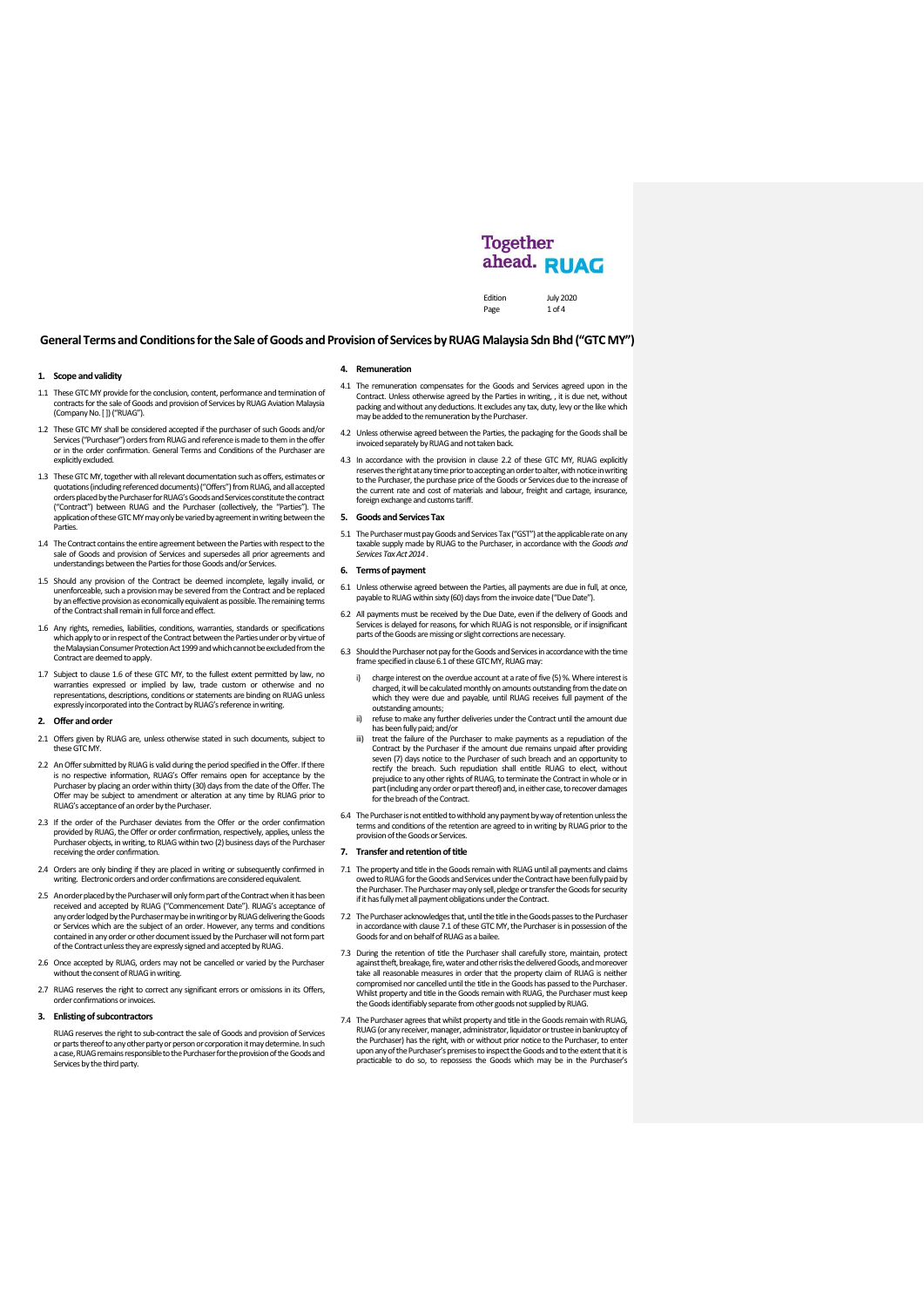# **Together** ahead. RUAG

Edition July 2020<br>Page 1 of 4 1 of  $4$ 

## **General Terms and Conditionsfor the Sale of Goods and Provision of Servicesby RUAG Malaysia Sdn Bhd ("GTC MY")**

#### **1. Scope and validity**

- 1.1 These GTC MY provide for the conclusion, content, performance and termination of contracts for the sale of Goods and provision of Services by RUAG Aviation Malaysia (Company No. [ ]) ("RUAG").
- 1.2 These GTC MY shall be considered accepted if the purchaser of such Goods and/or Services ("Purchaser") orders from RUAG and reference is made to them in the offer or in the order confirmation. General Terms and Conditions of the Purchaser are explicitly excluded.
- 1.3 These GTC MY, together with all relevant documentationsuch as offers, estimates or quotations (including referenced documents) ("Offers") from RUAG, and all accepted<br>orders placed by the Purchaser for RUAG's Goods and Services constitute the contract ("Contract") between RUAG and the Purchaser (collectively, the "Parties"). The application of these GTC MYmay only be varied by agreement in writing between the **Parties**
- 1.4 The Contract contains the entire agreement between the Parties with respect to the sale of Goods and provision of Services and supersedes all prior agreements and understandings between the Parties for those Goods and/or Services.
- 1.5 Should any provision of the Contract be deemed incomplete, legally invalid, or unenforceable, such a provision may be severed from the Contract and be replaced by an effective provisionas economically equivalent as possible. The remaining terms of the Contract shall remain in full force and effect.
- 1.6 Any rights, remedies, liabilities, conditions, warranties, standards or specifications which apply to or in respect of the Contract between the Parties under or by virtue of<br>the Malaysian Consumer Protection Act 1999 and which cannot be excluded from the Contract are deemed to apply.
- 1.7 Subject to clause 1.6 of these GTC MY, to the fullest extent permitted by law, no warranties expressed or implied by law, trade custom or otherwise and no representations, descriptions, conditions or statements are binding on RUAG unless expressly incorporated into the Contract by RUAG'sreference in writing.

## **2. Offer and order**

- 2.1 Offers given by RUAG are, unless otherwise stated in such documents, subject to these GTC MY.
- 2.2 An Offer submitted by RUAG is valid during the period specified in the Offer. If there is no respective information, RUAG's Offer remains open for acceptance by the Purchaser by placing an order within thirty (30) days from the date of the Offer. The Offer may be subject to amendment or alteration at any time by RUAG prior to RUAG's acceptance of an order by the Purchaser.
- 2.3 If the order of the Purchaser deviates from the Offer or the order confirmation provided by RUAG, the Offer or order confirmation, respectively, applies, unless the Purchaser objects, in writing, to RUAG within two (2) business days of the Purchaser receiving the order confirmation.
- 2.4 Orders are only binding if they are placed in writing or subsequently confirmed in writing. Electronic orders and order confirmations are considered equivalent.
- 2.5 An order placed by the Purchaser will only form part of the Contract when it has been received and accepted by RUAG ("Commencement Date"). RUAG's acceptance of any order lodged by the Purchaser may be in writing or by RUAG delivering the Goods or Services which are the subject of an order. However, any terms and conditions contained in any order or other document issued by the Purchaser will not form part of the Contract unless they are expressly signed and accepted by RUAG.
- 2.6 Once accepted by RUAG, orders may not be cancelled or varied by the Purchaser without the consent of RUAG in writing.
- 2.7 RUAG reserves the right to correct any significant errors or omissions in its Offers, order confirmations or invoices.

#### **3. Enlisting of subcontractors**

RUAG reserves the right to sub-contract the sale of Goods and provision of Services or parts thereof to any other party or person or corporation it may determine. In such a case,RUAG remains responsible to the Purchaser for the provision of the Goods and Services by the third party.

#### **4. Remuneration**

- 4.1 The remuneration compensates for the Goods and Services agreed upon in the Contract. Unless otherwise agreed by the Parties in writing, , it is due net, without packing and without any deductions. It excludes any tax, duty, levy or the like which may be added to the remuneration by the Purchaser.
- 4.2 Unless otherwise agreed between the Parties, the packaging for the Goods shall be invoiced separately by RUAG and not taken back.
- 4.3 In accordance with the provision in clause 2.2 of these GTC MY, RUAG explicitly reserves the right at any time prior to accepting an order to alter, with notice in writing<br>to the Purchaser, the purchase price of the Goods or Services due to the increase of the current rate and cost of materials and labour, freight and cartage, insurance, foreign exchange and customs tariff.

## **5. Goods and Services Tax**

5.1 The Purchaser must pay Goods and Services Tax ("GST")at the applicable rate on any taxable supply made by RUAG to the Purchaser, in accordance with the *Goods and Services Tax Act 2014* .

## **6. Terms of payment**

- 6.1 Unless otherwise agreed between the Parties, all payments are due in full, at once, payable to RUAG within sixty (60)days from the invoice date ("Due Date").
- 6.2 All payments must be received by the Due Date, even if the delivery of Goods and Services is delayed for reasons, for which RUAG is not responsible, or if insignificant parts of the Goods are missing or slight corrections are necessary.
- 6.3 Should the Purchaser not pay for the Goods and Services in accordance withthe time frame specified in clause 6.1 ofthese GTC MY, RUAG may:
	- i) charge interest on the overdue account at a rate of five (5) %. Where interest is charged, it will be calculated monthly on amounts outstanding from the data on the date on the date on the date on the date on the date on the date of the date on the date on the date of the date of the date on the date of which they were due and payable, until RUAG receives full payment of the
	- outstanding amounts; ii) refuse to make any further deliveries under the Contract until the amount due has been fully paid; and/or
	- iii) treat the failure of the Purchaser to make payments as a repudiation of the Contract by the Purchaser if the amount due remains unpaid after providing seven (7) days notice to the Purchaser of such breach and an opportunity to rectify the breach. Such repudiation shall entitle RUAG to elect, without prejudice to any other rights of RUAG, to terminate the Contract in whole or in part (including any order or part thereof) and, in either case, to recover damages for the breach of the Contract.
- 6.4 The Purchaser is not entitled to withhold any payment by way of retention unless the terms and conditions of the retention are agreed to in writing by RUAG prior to the provision of the Goods or Services.

## **7. Transfer and retention of title**

- <span id="page-0-0"></span>7.1 The property and title in the Goods remain with RUAG until all payments and claims owed to RUAG for the Goods and Services under the Contract have been fully paid by the Purchaser. The Purchaser may only sell, pledge or transfer the Goods for security if it has fully met all payment obligations under the Contract.
- 7.2 The Purchaser acknowledges that,until thetitlein the Goods passes to the Purchaser in accordance with claus[e 7.1](#page-0-0) of these GTC MY, the Purchaser is in possession of the Goods for and on behalf of RUAG as a bailee.
- 7.3 During the retention of title the Purchaser shall carefully store, maintain, protect, against theft, breakage, fire, water and other risks the delivered Goods, and moreover<br>take all reasonable measures in order that th compromised nor cancelled until the title in the Goods has passed to the Purchaser. Whilst property and title in the Goods remain with RUAG, the Purchaser must keep the Goods identifiably separate from other goods not supplied by RUAG.
- 7.4 The Purchaser agrees that whilst property and title in the Goods remain with RUAG, RUAG (or any receiver, manager, administrator, liquidator or trustee in bankruptcy of<br>the Purchaser) has the right, with or without prior notice to the Purchaser, to enter<br>upon any of the Purchaser's premises to inspect th practicable to do so, to repossess the Goods which may be in the Purchaser's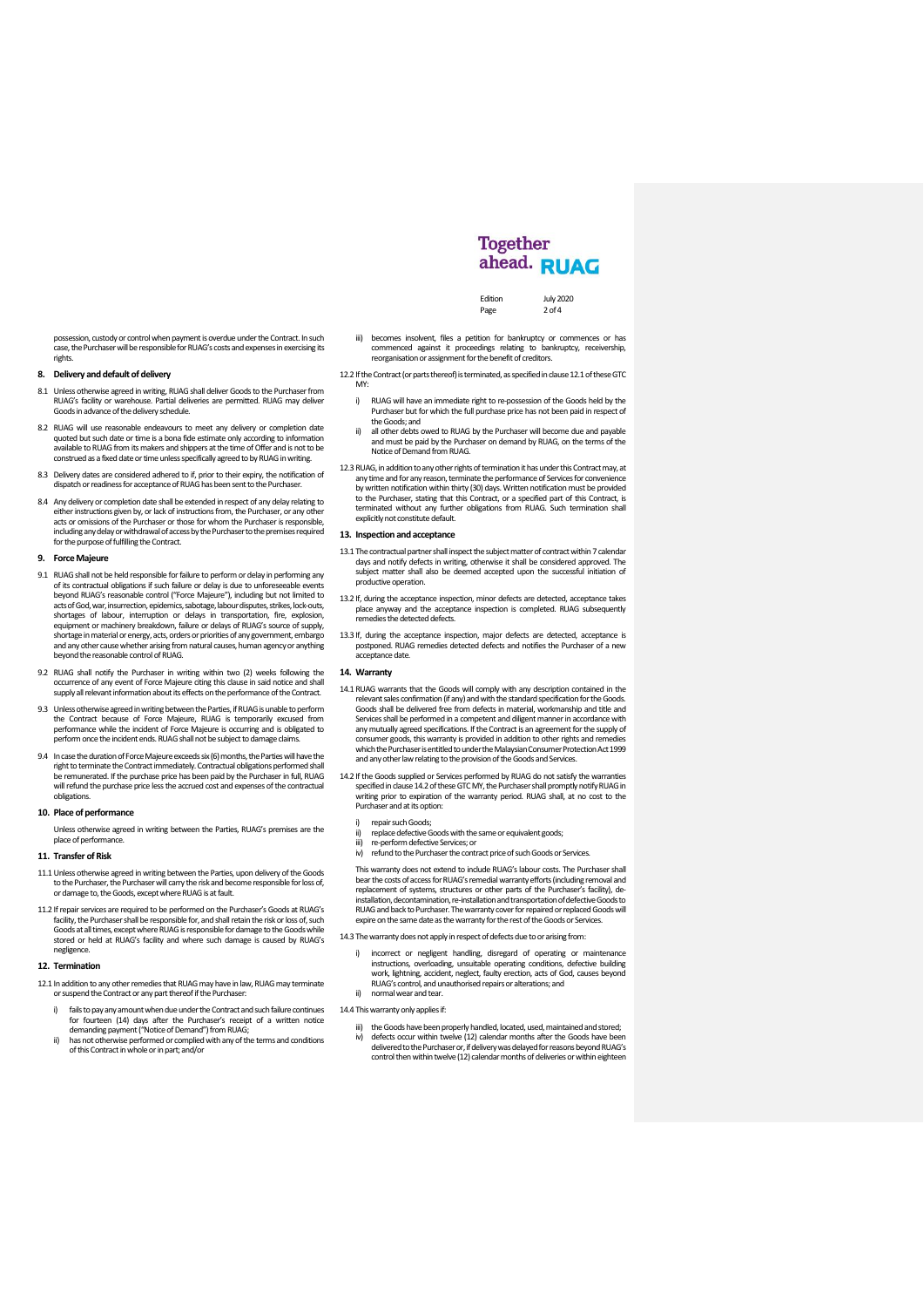possession, custody or control when payment is overdue under the Contract. In such case, the Purchaser will be responsible for RUAG's costs and expenses in exercising its rights.

## **8. Delivery and default of delivery**

- 8.1 Unless otherwise agreed in writing, RUAG shall deliver Goods to the Purchaser from RUAG's facility or warehouse. Partial deliveries are permitted. RUAG may deliver Goods in advance of the delivery schedule.
- 8.2 RUAG will use reasonable endeavours to meet any delivery or completion date quoted but such date or time is a bona fide estimate only according to information available to RUAG from its makers and shippers at the time of Offer and is not to be construed as a fixed date or time unless specifically agreed to by RUAG in writing.
- 8.3 Delivery dates are considered adhered to if, prior to their expiry, the notification of dispatch or readiness for acceptance of RUAG has been sent to the Purchaser.
- 8.4 Any delivery or completion date shall be extended in respect of any delay relating to either instructions given by, or lack of instructions from, the Purchaser, or any other acts or omissions of the Purchaser or those for whom the Purchaser is responsible, including any delay or withdrawal of access by the Purchaser to the premises required for the purpose of fulfilling the Contract.

# **9. Force Majeure**

- 9.1 RUAG shall not be held responsible for failure to perform or delay in performing any of its contractual obligations if such failure or delay is due to unforeseeable events beyond RUAG's reasonable control ("Force Majeure"), including but not limited to<br>acts of God, war, insurrection, epidemics, sabotage, labour disputes, strikes, lock-outs,<br>shortages of labour, interruption or delays i equipment or machinery breakdown, failure or delays of RUAG's source of supply shortage in material or energy, acts, orders or priorities of any government, embargo and any other cause whether arising from natural causes, human agencyor anything beyond the reasonable control of RUAG.
- 9.2 RUAG shall notify the Purchaser in writing within two (2) weeks following the occurrence of any event of Force Majeure citing this clause in said notice and shall supply all relevant information about its effects on the performance of the Contract.
- 9.3 Unless otherwise agreed in writing between the Parties, if RUAG is unable to perform the Contract because of Force Majeure, RUAG is temporarily excused from performance while the incident of Force Majeure is occurring and is obligated to perform once the incident ends. RUAG shall not be subject to damage claims.
- 9.4 In case the duration of Force Majeure exceeds six (6) months, the Parties will have the right to terminate the Contractimmediately. Contractual obligations performed shall be remunerated. If the purchase price has been paid by the Purchaser in full, RUAG will refund the purchase price less the accrued cost and expenses of the contractual obligations.

#### **10. Place of performance**

Unless otherwise agreed in writing between the Parties, RUAG's premises are the place of performance

## **11. Transfer of Risk**

- 11.1 Unless otherwise agreed in writing between the Parties, upon delivery of the Goods<br>to the Purchaser, the Purchaser will carry the risk and become responsible for loss of,<br>or damage to, the Goods, except where RUAG is
- 11.2 If repair services are required to be performed on the Purchaser's Goods at RUAG's facility, the Purchaser shall be responsible for, and shall retain the risk orloss of, such Goods at all times, except where RUAG is responsible for damage to the Goods while stored or held at RUAG's facility and where such damage is caused by RUAG's negligence.

#### **12. Termination**

<span id="page-1-0"></span>12.1 In addition to any other remedies that RUAG may have in law, RUAG may terminate or suspend the Contract or any part thereof ifthe Purchaser:

- i) fails to pay any amount when due under the Contract and such failure continues for fourteen (14) days after the Purchaser's receipt of a written notice
- demanding payment("Notice of Demand")from RUAG; ii) has not otherwise performed or complied with any of the terms and conditions of this Contractin whole or in part; and/or

iii) becomes insolvent, files a petition for bankruptcy or commences or has commenced against it proceedings relating to bankruptcy, receivership, receivership,

Page

- 12.2 If the Contract (or parts thereof) is terminated, as specified in clause 12.1 of these GTC MY<sub></sub>
	- i) RUAG will have an immediate right to re-possession of the Goods held by the Purchaser but for which the full purchase price has not been paid in respect of
	- the Goods; and ii) all other debts owed to RUAG by the Purchaser will become due and payable and must be paid by the Purchaser on demand by RUAG, on the terms of the Notice of Demand from RUAG.
- 12.3 RUAG, in addition to any other rights of termination it has under this Contract may, at any time and for any reason, terminate the performance of Services for convenience<br>by written notification within thirty (30) days. Written notification must be provided to the Purchaser, stating that this Contract, or a specified part of this Contract, is terminated without any further obligations from RUAG. Such termination shall explicitly not constitute default.

## **13. Inspection and acceptance**

- 13.1 The contractual partner shall inspect the subject matter of contract within 7 calendar days and notify defects in writing, otherwise it shall be considered approved. The subject matter shall also be deemed accepted upon the successful initiation of productive operation.
- 13.2 If, during the acceptance inspection, minor defects are detected, acceptance takes place anyway and the acceptance inspection is completed. RUAG subsequently remedies the detected defects.
- 13.3 If, during the acceptance inspection, major defects are detected, acceptance is postponed. RUAG remedies detected defects and notifies the Purchaser of a new acceptance date.

#### **14. Warranty**

- 14.1 RUAG warrants that the Goods will comply with any description contained in the relevant sales confirmation (if any) and with the standard specification for the Goods. Goods shall be delivered free from defects in material, workmanship and title and Services shall be performed in a competent and diligent manner in accordance with any mutually agreed specifications. If the Contract is an agreement for the supply of consumer goods, this warranty is provided in addition to other rights and remedies which the Purchaser is entitled to under the Malaysian Consumer Protection Act 1999 and any other law relating to the provision of the Goods and Services.
- <span id="page-1-1"></span>14.2 If the Goods supplied or Services performed by RUAG do not satisfy the warranties specified in clause 14.2of these GTC MY, the Purchaser shall promptly notify RUAG in writing prior to expiration of the warranty period. RUAG shall, at no cost to the Purchaser and at its option:
	- repair such Goods
	- replace defective Goods with the same or equivalent goods;
	- iii) re-perform defective Services; or<br>iv) refund to the Purchaser the conti iv) refund to the Purchaser the contract price of such Goods or Services.

This warranty does not extend to include RUAG's labour costs. The Purchaser shall bear the costs of access for RUAG's remedial warranty efforts (including removal and replacement of systems, structures or other parts of the Purchaser's facility), deinstallation, decontamination, re-installation and transportation of defective Goods to RUAG and back to Purchaser. The warranty cover for repaired or replaced Goods will expire on the same date as the warranty for the rest of the Goods or Services.

- 14.3 The warranty does not apply in respect of defects due to or arising from
	- i) incorrect or negligent handling, disregard of operating or maintenance instructions, overloading, unsuitable operating conditions, defective building work, lightning, accident, neglect, faulty erection, acts of God, causes beyond RUAG's control, and unauthorised repairs or alterations; and ii) normal wear and tear.
	-
- 14.4 This warranty only applies if
	- iii) the Goods have been properly handled, located, used, maintained and stored;<br>iv) defects occur within twelve (12) calendar months after the Goods have been<br>delivered to the Purchaser or, if delivery was delayed for rea control then within twelve (12) calendar months of deliveries or within eighteen

ahead. RUAG

**Together** 

Edition July 2020<br>Page 2 of 4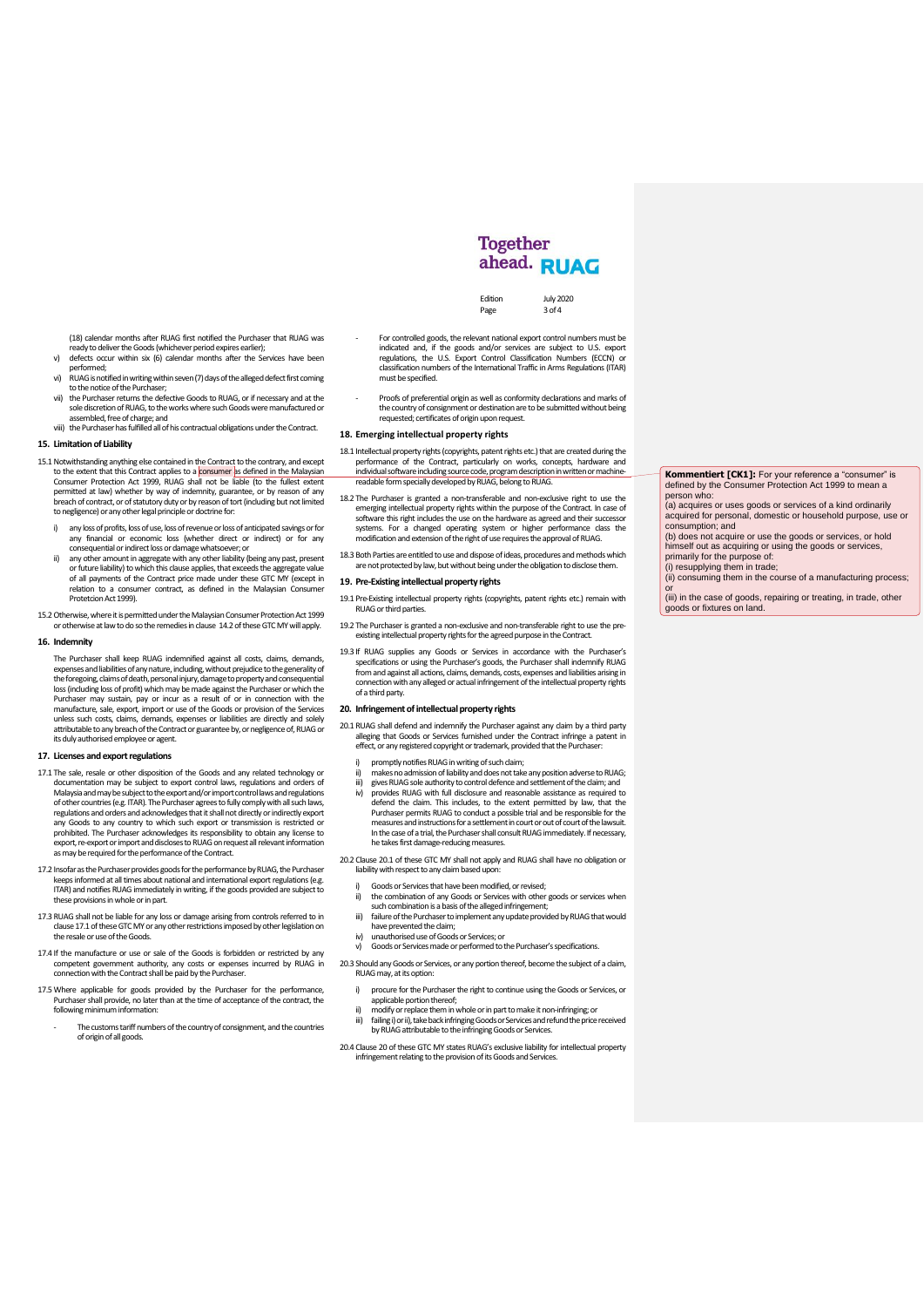(18) calendar months after RUAG first notified the Purchaser that RUAG was ready to deliver the Goods (whichever period expires earlier); v) defects occur within six (6) calendar months after the Services have been

- performed; vi) RUAG is notified in writing within seven (7) days of the alleged defect first coming
- to the notice of the Purchaser; vii) the Purchaser returns the defective Goods to RUAG, or if necessary and at the
- sole discretion of RUAG, to the works where such Goods were manufactured or assembled, free of charge; and viii) the Purchaser has fulfilled all of his contractual obligations under the Contract.

## **15. Limitation of Liability**

- 15.1 Notwithstanding anything else contained in the Contract to the contrary, and except to the extent that this Contract applies to a <mark>consumer </mark>as defined in the Malaysian<br>Consumer Protection Act 1999, RUAG shall not be liable (to the fullest extent permitted at law) whether by way of indemnity, guarantee, or by reason of any breach of contract, or of statutory duty or by reason of tort (including but not limited to negligence) or any other legal principle or doctrine for:
	- i) any loss of profits, loss of use, loss of revenue or loss of anticipated savings or for any financial or economic loss (whether direct or indirect) or for any
	- consequential or indirect loss or damage whatsoever; or ii) any other amount in aggregate with any other liability (being any past, present or future liability) to which this clause applies, that exceeds the aggregate value<br>of all payments of the Contract price made under these GTC MY (except in<br>relation to a consumer contract, as defined in the Malay Protetcion Act 1999).
- 15.2Otherwise, where it is permitted under the Malaysian Consumer Protection Act 1999 or otherwise at law to do so the remedies in clause [14.2o](#page-1-1)f these GTC MYwill apply.

#### **16. Indemnity**

The Purchaser shall keep RUAG indemnified against all costs, claims, demands, expenses and liabilities of any nature including without prejudice to the generality of expenses and liabilities of any nature, including, without prejudice to the generality of<br>the foregoing, dains of death, personal injury, damage to property and consequential<br>loss (including loss of profit) which may be ma attributable to any breach of the Contract or guarantee by, or negligence of, RUAG or its duly authorised employee or agent.

#### **17. Licenses and export regulations**

- 17.1 The sale, resale or other disposition of the Goods and any related technology or documentation may be subject to export control laws, regulations and orders of<br>Malaysia and may be subject to the exportand/or import control laws and regulations<br>of other countries (e.g. ITAR). The Purchaser agrees to ful regulations and orders and acknowledges that it shall not directly or indirectly export<br>any Goods to any country to which such export or transmission is restricted or<br>prohibited. The Purchaser acknowledges its responsibili .<br>export, re-export or import and discloses to RUAG on request all relevant information as may be required for the performance of the Contract.
- 17.2 Insofar as the Purchaser provides goods for the performance by RUAG, the Purchaser<br>keeps informed at all times about national and international export regulations (e.g.<br>TTAR) and notifies RUAG immediately in writing, these provisions in whole or in part.
- 17.3 RUAG shall not be liable for any loss or damage arising from controls referred to in clause 17.1 of these GTC MY or any other restrictions imposed by other legislation on<br>the resale or use of the Goods.
- 17.4 If the manufacture or use or sale of the Goods is forbidden or restricted by any competent government authority, any costs or expenses incurred by RUAG in connection with the Contract shall be paid by the Purchaser.
- 17.5 Where applicable for goods provided by the Purchaser for the performance Purchaser shall provide, no later than at the time of acceptance of the contract, the following minimum information:
	- The customs tariff numbers of the country of consignment, and the countries of origin of all goods.

- For controlled goods, the relevant national export control numbers must be indicated and, if the goods and/or services are subject to U.S. export regulations, the U.S. Export Control Classification Numbers (ECCN) or classification numbers of the International Traffic in Arms Regulations (ITAR) must be specified.

Page

Edition July 2020<br>Page 3 of 4

**Together** ahead. RUAG

- Proofs of preferential origin as well as conformity declarations and marks of the country of consignment or destination are to be submitted without being requested; certificates of origin upon request.

## **18. Emerging intellectual property rights**

- 18.1 Intellectual property rights (copyrights, patent rights etc.) that are created during the performance of the Contract, particularly on works, concepts, hardware individual software including source code, program description in written or machine-<br>readable form specially developed by RUAG, belong to RUAG.
- 18.2 The Purchaser is granted a non-transferable and non-exclusive right to use the emerging intellectual property rights within the purpose of the Contract. In case of software this right includes the use on the hardware as agreed and their successor systems. For a changed operating system or higher performance class the modification and extension of the right of use requires the approval of RUAG.
- 18.3 Both Parties are entitled to use and dispose of ideas, procedures and methods which are not protected by law, but without being under the obligation to disclose them.

#### 19. Pre-Existing intellectual property rights

- 19.1 Pre-Existing intellectual property rights (copyrights, patent rights etc.) remain with RUAG or third parties.
- 19.2 The Purchaser is granted a non-exclusive and non-transferable right to use the preexisting intellectual property rights for the agreed purposein the Contract.
- 19.3 If RUAG supplies any Goods or Services in accordance with the Purchaser's specifications or using the Purchaser's goods, the Purchaser shall indemnify RUAG from and against all actions, claims, demands, costs, expenses and liabilities arising in connection with any alleged or actual infringement of the intellectual property rights of a third party.

## **20. Infringement of intellectual property rights**

- 20.1 RUAG shall defend and indemnify the Purchaser against any claim by a third party alleging that Goods or Services furnished under the Contract infringe a patent in effect, or any registered copyright or trademark, provided that the Purchaser:
	- i) promptly notifies RUAG in writing of such claim;<br>ii) makes no admission of liability and does not take
	- makes no admission of liability and does not take any position adverse to RUAG; iii) gives RUAG sole authority to control defence and settlement of the claim; and iv) provides RUAG with full disclosure and reasonable assistance as required t iv) provides RUAG with full disclosure and reasonable assistance as required to defend the claim. This includes, to the extent permitted by law, that the
	- Purchaser permits RUAG to conduct a possible trial and be responsible for the<br>measures and instructions for a settlement in court or out of court of the lawsuit.<br>In the case of a trial, the Purchaser shall consult RUAG imm he takes first damage-reducing measures.
- 20.2 Clause 20.1 of these GTC MY shall not apply and RUAG shall have no obligation or liability with respect to any claim based upon:
	- i) Goods or Services that have been modified, or revised;<br>ii) the combination of any Goods or Services with other
	- ii) the combination of any Goods or Services with other goods or services when such combination is a basis of the alleged infringement;
	- iii) failure of the Purchaser to implement any update provided by RUAG that would
	- have prevented the claim; iv) unauthorised use of Goods or Services; or
	- v) Goods or Services made or performed to the Purchaser's specifications.
- 20.3 Should any Goods or Services, or any portion thereof, become the subject of a claim, RUAG may, at its option:
	- i) procure for the Purchaser the right to continue using the Goods or Services, or applicable portion thereof;
	- ii) modify or replace themin whole or in part to make it non-infringing; or iii) failing i) or ii), take back infringing Goods or Services and refund the price received by RUAG attributable to the infringing Goods or Services.
- 20.4 Clause 20 of these GTC MY states RUAG's exclusive liability for intellectual property infringement relating to the provision of its Goods and Services.

**Kommentiert [CK1]:** For your reference a "consumer" is defined by the Consumer Protection Act 1999 to mean a  $\frac{1}{2}$ 

(a) acquires or uses goods or services of a kind ordinarily acquired for personal, domestic or household purpose, use or consumption; and

(b) does not acquire or use the goods or services, or hold himself out as acquiring or using the goods or services, primarily for the purpose of: (i) resupplying them in trade;

(ii) consuming them in the course of a manufacturing process; or (iii) in the case of goods, repairing or treating, in trade, other

goods or fixtures on land.